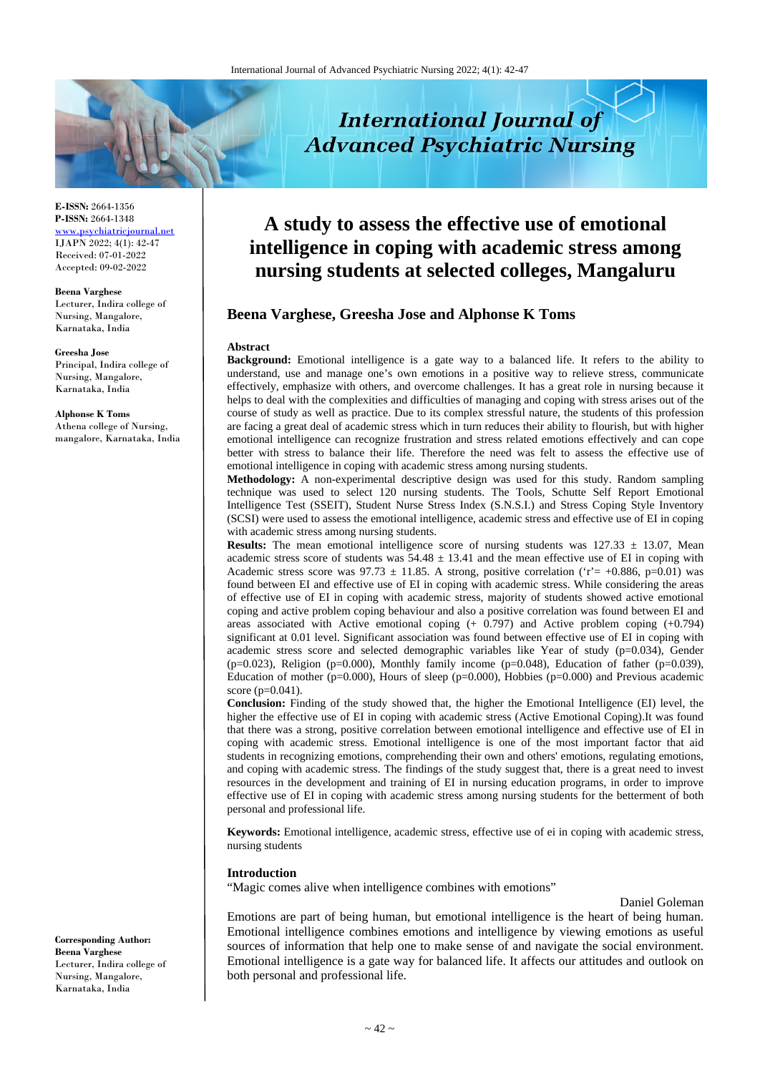

**E-ISSN:** 2664-1356 **P-ISSN:** 2664-1348 www.psychiatricjournal.net IJAPN 2022; 4(1): 42-47 Received: 07-01-2022 Accepted: 09-02-2022

#### **Beena Varghese** Lecturer, Indira college of Nursing, Mangalore, Karnataka, India

**Greesha Jose**

Principal, Indira college of Nursing, Mangalore, Karnataka, India

#### **Alphonse K Toms**

Athena college of Nursing, mangalore, Karnataka, India

**International Journal of Advanced Psychiatric Nursing** 

# **A study to assess the effective use of emotional intelligence in coping with academic stress among nursing students at selected colleges, Mangaluru**

# **Beena Varghese, Greesha Jose and Alphonse K Toms**

#### **Abstract**

**Background:** Emotional intelligence is a gate way to a balanced life. It refers to the ability to understand, use and manage one's own emotions in a positive way to relieve stress, communicate effectively, emphasize with others, and overcome challenges. It has a great role in nursing because it helps to deal with the complexities and difficulties of managing and coping with stress arises out of the course of study as well as practice. Due to its complex stressful nature, the students of this profession are facing a great deal of academic stress which in turn reduces their ability to flourish, but with higher emotional intelligence can recognize frustration and stress related emotions effectively and can cope better with stress to balance their life. Therefore the need was felt to assess the effective use of emotional intelligence in coping with academic stress among nursing students.

**Methodology:** A non-experimental descriptive design was used for this study. Random sampling technique was used to select 120 nursing students. The Tools, Schutte Self Report Emotional Intelligence Test (SSEIT), Student Nurse Stress Index (S.N.S.I.) and Stress Coping Style Inventory (SCSI) were used to assess the emotional intelligence, academic stress and effective use of EI in coping with academic stress among nursing students.

**Results:** The mean emotional intelligence score of nursing students was 127.33  $\pm$  13.07, Mean academic stress score of students was  $54.48 \pm 13.41$  and the mean effective use of EI in coping with Academic stress score was  $97.73 \pm 11.85$ . A strong, positive correlation ( $r = +0.886$ , p=0.01) was found between EI and effective use of EI in coping with academic stress. While considering the areas of effective use of EI in coping with academic stress, majority of students showed active emotional coping and active problem coping behaviour and also a positive correlation was found between EI and areas associated with Active emotional coping (+ 0.797) and Active problem coping (+0.794) significant at 0.01 level. Significant association was found between effective use of EI in coping with academic stress score and selected demographic variables like Year of study (p=0.034), Gender  $(p=0.023)$ , Religion (p=0.000), Monthly family income (p=0.048), Education of father (p=0.039), Education of mother ( $p=0.000$ ), Hours of sleep ( $p=0.000$ ), Hobbies ( $p=0.000$ ) and Previous academic score (p=0.041).

**Conclusion:** Finding of the study showed that, the higher the Emotional Intelligence (EI) level, the higher the effective use of EI in coping with academic stress (Active Emotional Coping).It was found that there was a strong, positive correlation between emotional intelligence and effective use of EI in coping with academic stress. Emotional intelligence is one of the most important factor that aid students in recognizing emotions, comprehending their own and others' emotions, regulating emotions, and coping with academic stress. The findings of the study suggest that, there is a great need to invest resources in the development and training of EI in nursing education programs, in order to improve effective use of EI in coping with academic stress among nursing students for the betterment of both personal and professional life.

**Keywords:** Emotional intelligence, academic stress, effective use of ei in coping with academic stress, nursing students

#### **Introduction**

"Magic comes alive when intelligence combines with emotions"

Daniel Goleman

Emotions are part of being human, but emotional intelligence is the heart of being human. Emotional intelligence combines emotions and intelligence by viewing emotions as useful sources of information that help one to make sense of and navigate the social environment. Emotional intelligence is a gate way for balanced life. It affects our attitudes and outlook on both personal and professional life.

**Corresponding Author: Beena Varghese** Lecturer, Indira college of Nursing, Mangalore, Karnataka, India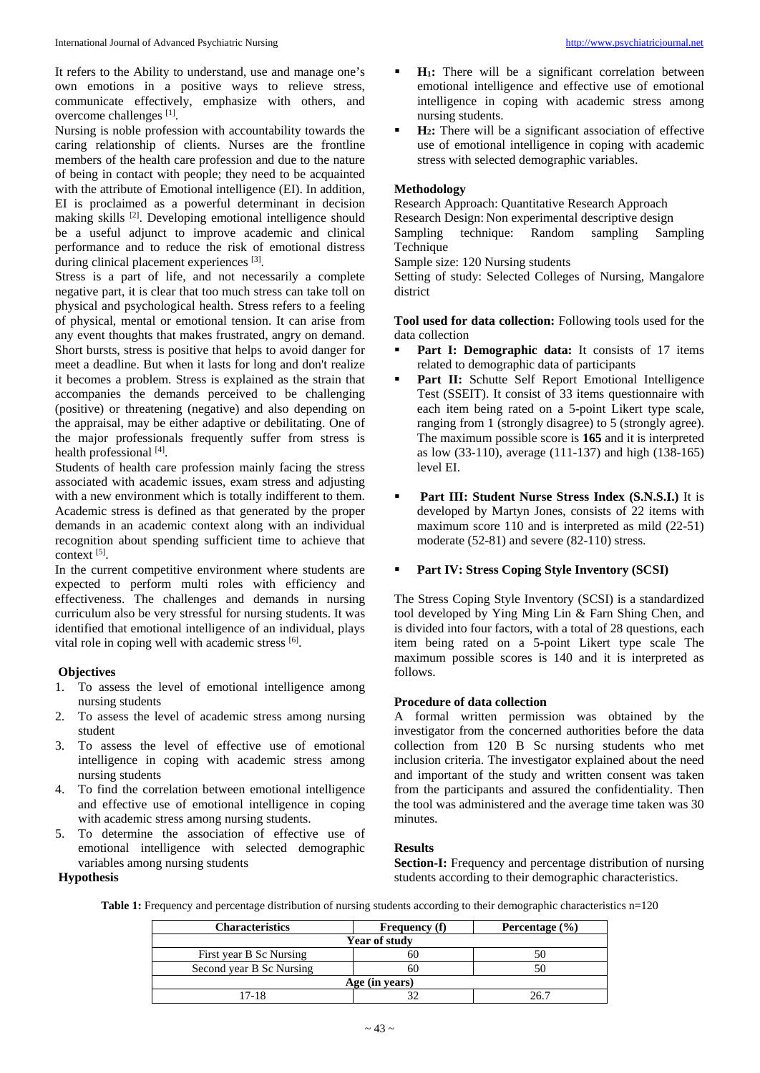It refers to the Ability to understand, use and manage one's own emotions in a positive ways to relieve stress, communicate effectively, emphasize with others, and overcome challenges<sup>[1]</sup>.

Nursing is noble profession with accountability towards the caring relationship of clients. Nurses are the frontline members of the health care profession and due to the nature of being in contact with people; they need to be acquainted with the attribute of Emotional intelligence (EI). In addition, EI is proclaimed as a powerful determinant in decision making skills <sup>[2]</sup>. Developing emotional intelligence should be a useful adjunct to improve academic and clinical performance and to reduce the risk of emotional distress during clinical placement experiences [3].

Stress is a part of life, and not necessarily a complete negative part, it is clear that too much stress can take toll on physical and psychological health. Stress refers to a feeling of physical, mental or emotional tension. It can arise from any event thoughts that makes frustrated, angry on demand. Short bursts, stress is positive that helps to avoid danger for meet a deadline. But when it lasts for long and don't realize it becomes a problem. Stress is explained as the strain that accompanies the demands perceived to be challenging (positive) or threatening (negative) and also depending on the appraisal, may be either adaptive or debilitating. One of the major professionals frequently suffer from stress is health professional [4].

Students of health care profession mainly facing the stress associated with academic issues, exam stress and adjusting with a new environment which is totally indifferent to them. Academic stress is defined as that generated by the proper demands in an academic context along with an individual recognition about spending sufficient time to achieve that context<sup>[5]</sup>.

In the current competitive environment where students are expected to perform multi roles with efficiency and effectiveness. The challenges and demands in nursing curriculum also be very stressful for nursing students. It was identified that emotional intelligence of an individual, plays vital role in coping well with academic stress [6].

## **Objectives**

- 1. To assess the level of emotional intelligence among nursing students
- 2. To assess the level of academic stress among nursing student
- 3. To assess the level of effective use of emotional intelligence in coping with academic stress among nursing students
- 4. To find the correlation between emotional intelligence and effective use of emotional intelligence in coping with academic stress among nursing students.
- 5. To determine the association of effective use of emotional intelligence with selected demographic variables among nursing students **Hypothesis**
- **H1:** There will be a significant correlation between emotional intelligence and effective use of emotional intelligence in coping with academic stress among nursing students.
- **H2:** There will be a significant association of effective use of emotional intelligence in coping with academic stress with selected demographic variables.

## **Methodology**

Research Approach: Quantitative Research Approach Research Design: Non experimental descriptive design<br>
Sampling technique: Random sampling Sam Sampling technique: Random sampling Sampling **Technique** 

Sample size: 120 Nursing students

Setting of study: Selected Colleges of Nursing, Mangalore district

**Tool used for data collection:** Following tools used for the data collection

- Part I: Demographic data: It consists of 17 items related to demographic data of participants
- Part II: Schutte Self Report Emotional Intelligence Test (SSEIT). It consist of 33 items questionnaire with each item being rated on a 5-point Likert type scale, ranging from 1 (strongly disagree) to 5 (strongly agree). The maximum possible score is **165** and it is interpreted as low (33-110), average (111-137) and high (138-165) level EI.
- **Part III: Student Nurse Stress Index (S.N.S.I.)** It is developed by Martyn Jones, consists of 22 items with maximum score 110 and is interpreted as mild (22-51) moderate (52-81) and severe (82-110) stress.
- **Part IV: Stress Coping Style Inventory (SCSI)**

The Stress Coping Style Inventory (SCSI) is a standardized tool developed by Ying Ming Lin & Farn Shing Chen, and is divided into four factors, with a total of 28 questions, each item being rated on a 5-point Likert type scale The maximum possible scores is 140 and it is interpreted as follows.

## **Procedure of data collection**

A formal written permission was obtained by the investigator from the concerned authorities before the data collection from 120 B Sc nursing students who met inclusion criteria. The investigator explained about the need and important of the study and written consent was taken from the participants and assured the confidentiality. Then the tool was administered and the average time taken was 30 minutes.

## **Results**

**Section-I:** Frequency and percentage distribution of nursing students according to their demographic characteristics.

**Table 1:** Frequency and percentage distribution of nursing students according to their demographic characteristics n=120

| <b>Characteristics</b>   | <b>Frequency</b> (f) | Percentage $(\% )$ |  |  |  |
|--------------------------|----------------------|--------------------|--|--|--|
|                          | Year of study        |                    |  |  |  |
| First year B Sc Nursing  |                      |                    |  |  |  |
| Second year B Sc Nursing |                      |                    |  |  |  |
| Age (in years)           |                      |                    |  |  |  |
| $17-18$                  |                      | ገሬ ገ               |  |  |  |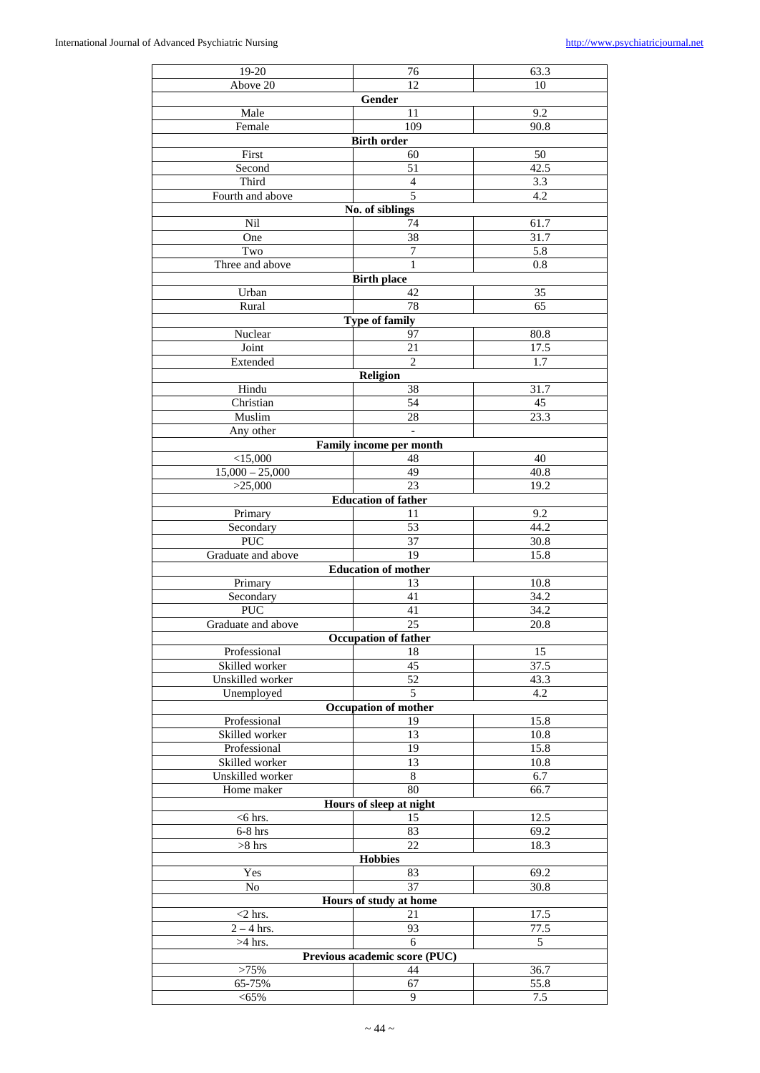| $19-20$                        | 76                            | 63.3              |
|--------------------------------|-------------------------------|-------------------|
| Above 20                       | 12                            | 10                |
|                                | Gender                        |                   |
| Male                           | 11                            | 9.2               |
| Female                         | 109                           | 90.8              |
|                                | <b>Birth order</b>            |                   |
| First                          | 60                            | 50                |
| Second                         | 51                            | 42.5              |
| Third                          | $\overline{4}$                | 3.3               |
| Fourth and above               | 5                             | 4.2               |
|                                | No. of siblings               |                   |
| Nil                            | 74                            | 61.7              |
| One                            | 38                            | 31.7              |
| Two                            | $\overline{7}$                | 5.8               |
| Three and above                | 1                             | 0.8               |
| Urban                          | <b>Birth place</b><br>42      | 35                |
| Rural                          | 78                            | 65                |
|                                | <b>Type of family</b>         |                   |
| Nuclear                        | 97                            | 80.8              |
| Joint                          | 21                            | 17.5              |
| Extended                       | $\overline{c}$                | 1.7               |
|                                | Religion                      |                   |
| Hindu                          | 38                            | 31.7              |
| Christian                      | 54                            | 45                |
| Muslim                         | 28                            | 23.3              |
| Any other                      | $\equiv$                      |                   |
|                                | Family income per month       |                   |
| $<$ 15,000                     | 48                            | 40                |
| $15,000 - 25,000$              | 49                            | 40.8              |
| >25,000                        | 23                            | 19.2              |
|                                | <b>Education of father</b>    |                   |
| Primary                        | 11                            | 9.2               |
| Secondary                      | 53                            | 44.2              |
| <b>PUC</b>                     | 37                            | 30.8              |
| Graduate and above             | 19                            | 15.8              |
|                                | <b>Education of mother</b>    |                   |
| Primary                        | 13                            | $\overline{10.8}$ |
| Secondary                      | 41                            | 34.2              |
| PUC                            | 41                            | 34.2              |
| Graduate and above             | 25                            | 20.8              |
|                                | <b>Occupation of father</b>   |                   |
| Professional<br>Skilled worker | 18                            | 15                |
| Unskilled worker               | 45<br>$\overline{52}$         | 37.5<br>43.3      |
| Unemployed                     | 5                             | 4.2               |
|                                | Occupation of mother          |                   |
| Professional                   | 19                            | 15.8              |
| Skilled worker                 | $\overline{13}$               | 10.8              |
| Professional                   | $\overline{19}$               | 15.8              |
| Skilled worker                 | $\overline{13}$               | $\overline{10.8}$ |
| Unskilled worker               | 8                             | 6.7               |
| Home maker                     | 80                            | 66.7              |
|                                | Hours of sleep at night       |                   |
| $<$ 6 hrs.                     | 15                            | 12.5              |
| $6-8$ hrs                      | 83                            | 69.2              |
| $>8$ hrs                       | 22                            | 18.3              |
|                                | <b>Hobbies</b>                |                   |
| Yes                            | 83                            | 69.2              |
| No                             | $\overline{37}$               | 30.8              |
|                                | Hours of study at home        |                   |
| $<$ 2 hrs.                     | 21                            | 17.5              |
| $2 - 4$ hrs.                   | 93                            | 77.5              |
| $\overline{\geq 4}$ hrs.       | 6                             | $\overline{5}$    |
|                                | Previous academic score (PUC) |                   |
| >75%                           | 44                            | 36.7              |
| 65-75%                         | 67                            | 55.8              |
| $< 65\%$                       | 9                             | 7.5               |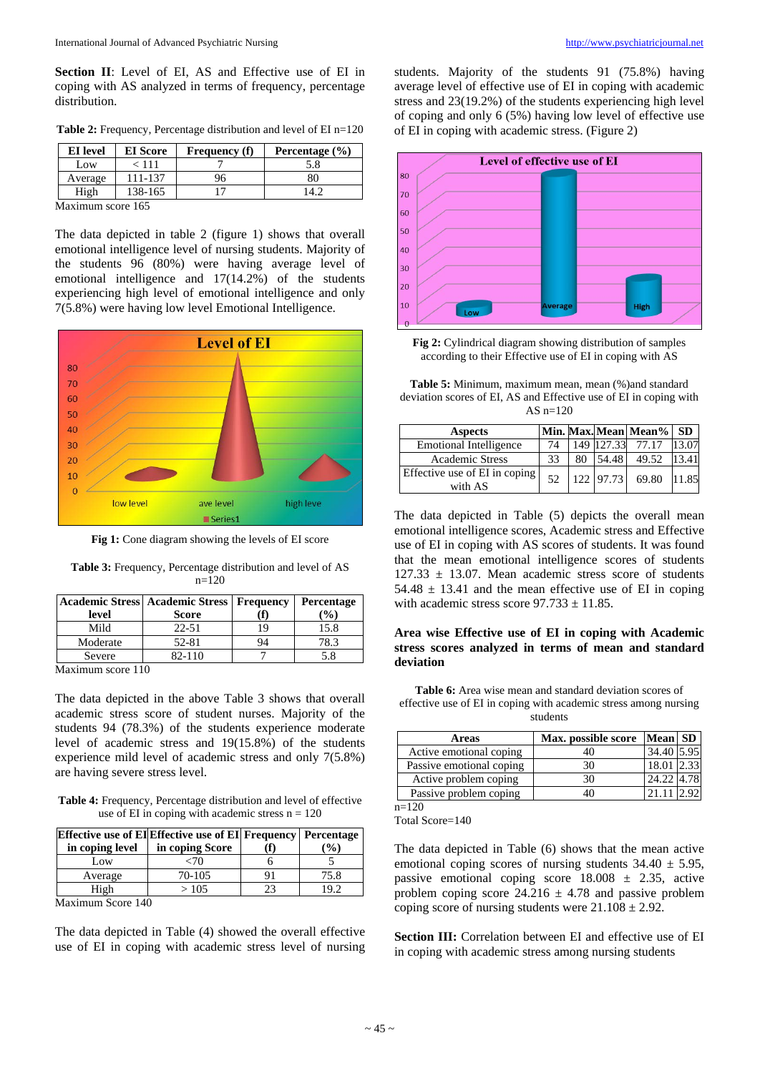**Section II**: Level of EI, AS and Effective use of EI in coping with AS analyzed in terms of frequency, percentage distribution.

**Table 2:** Frequency, Percentage distribution and level of EI n=120

| <b>EI</b> level | <b>EI</b> Score | <b>Frequency</b> (f) | Percentage $(\% )$ |
|-----------------|-----------------|----------------------|--------------------|
| Low             | - 111           |                      | 5.8                |
| Average         | 111-137         | 96                   | 80                 |
| High            | 138-165         |                      |                    |
|                 |                 |                      |                    |

Maximum score 165

The data depicted in table 2 (figure 1) shows that overall emotional intelligence level of nursing students. Majority of the students 96 (80%) were having average level of emotional intelligence and 17(14.2%) of the students experiencing high level of emotional intelligence and only 7(5.8%) were having low level Emotional Intelligence.



**Fig 1:** Cone diagram showing the levels of EI score

| <b>Table 3:</b> Frequency, Percentage distribution and level of AS |
|--------------------------------------------------------------------|
| $n=120$                                                            |

|          | <b>Academic Stress   Academic Stress   Frequency</b> |    | Percentage    |
|----------|------------------------------------------------------|----|---------------|
| level    | <b>Score</b>                                         |    | $\frac{9}{0}$ |
| Mild     | $22 - 51$                                            | 19 | 15.8          |
| Moderate | 52-81                                                | 94 | 78.3          |
| Severe   | 82-110                                               |    | 5.8           |
|          |                                                      |    |               |

Maximum score 110

The data depicted in the above Table 3 shows that overall academic stress score of student nurses. Majority of the students 94 (78.3%) of the students experience moderate level of academic stress and 19(15.8%) of the students experience mild level of academic stress and only 7(5.8%) are having severe stress level.

**Table 4:** Frequency, Percentage distribution and level of effective use of EI in coping with academic stress  $n = 120$ 

|                      | <b>Effective use of EI Effective use of EI Frequency Percentage</b> |    |                 |  |
|----------------------|---------------------------------------------------------------------|----|-----------------|--|
| in coping level      | in coping Score                                                     |    | $\mathcal{O}_0$ |  |
| Low                  | -70                                                                 |    |                 |  |
| Average              | 70-105                                                              |    | 75.8            |  |
| High                 | >105                                                                | 23 | 19.2            |  |
| $\mathbf{r}$<br>1.40 |                                                                     |    |                 |  |

Maximum Score 140

The data depicted in Table (4) showed the overall effective use of EI in coping with academic stress level of nursing

students. Majority of the students 91 (75.8%) having average level of effective use of EI in coping with academic stress and 23(19.2%) of the students experiencing high level of coping and only 6 (5%) having low level of effective use of EI in coping with academic stress. (Figure 2)



**Fig 2:** Cylindrical diagram showing distribution of samples according to their Effective use of EI in coping with AS

**Table 5:** Minimum, maximum mean, mean (%)and standard deviation scores of EI, AS and Effective use of EI in coping with AS n=120

| <b>Aspects</b>                           |    |    |            | Min. Max. Mean Mean% SD |       |
|------------------------------------------|----|----|------------|-------------------------|-------|
| <b>Emotional Intelligence</b>            | 74 |    | 149 127.33 | 77.17                   | 13.07 |
| <b>Academic Stress</b>                   | 33 | 80 | 54.48      | 49.52                   |       |
| Effective use of EI in coping<br>with AS | 52 |    | 122 97.73  | 69.80                   | 11.85 |

The data depicted in Table (5) depicts the overall mean emotional intelligence scores, Academic stress and Effective use of EI in coping with AS scores of students. It was found that the mean emotional intelligence scores of students  $127.33 \pm 13.07$ . Mean academic stress score of students  $54.48 \pm 13.41$  and the mean effective use of EI in coping with academic stress score  $97.733 \pm 11.85$ .

## **Area wise Effective use of EI in coping with Academic stress scores analyzed in terms of mean and standard deviation**

Table 6: Area wise mean and standard deviation scores of effective use of EI in coping with academic stress among nursing students

| Max. possible score |       |         |
|---------------------|-------|---------|
|                     | 34.40 | 5.95    |
| 30                  | 18.0  | 2.33.   |
| 30                  | 24.22 |         |
|                     |       |         |
|                     |       | Mean SD |

Total Score=140

The data depicted in Table (6) shows that the mean active emotional coping scores of nursing students  $34.40 \pm 5.95$ , passive emotional coping score  $18.008 \pm 2.35$ , active problem coping score  $24.216 \pm 4.78$  and passive problem coping score of nursing students were  $21.108 \pm 2.92$ .

**Section III:** Correlation between EI and effective use of EI in coping with academic stress among nursing students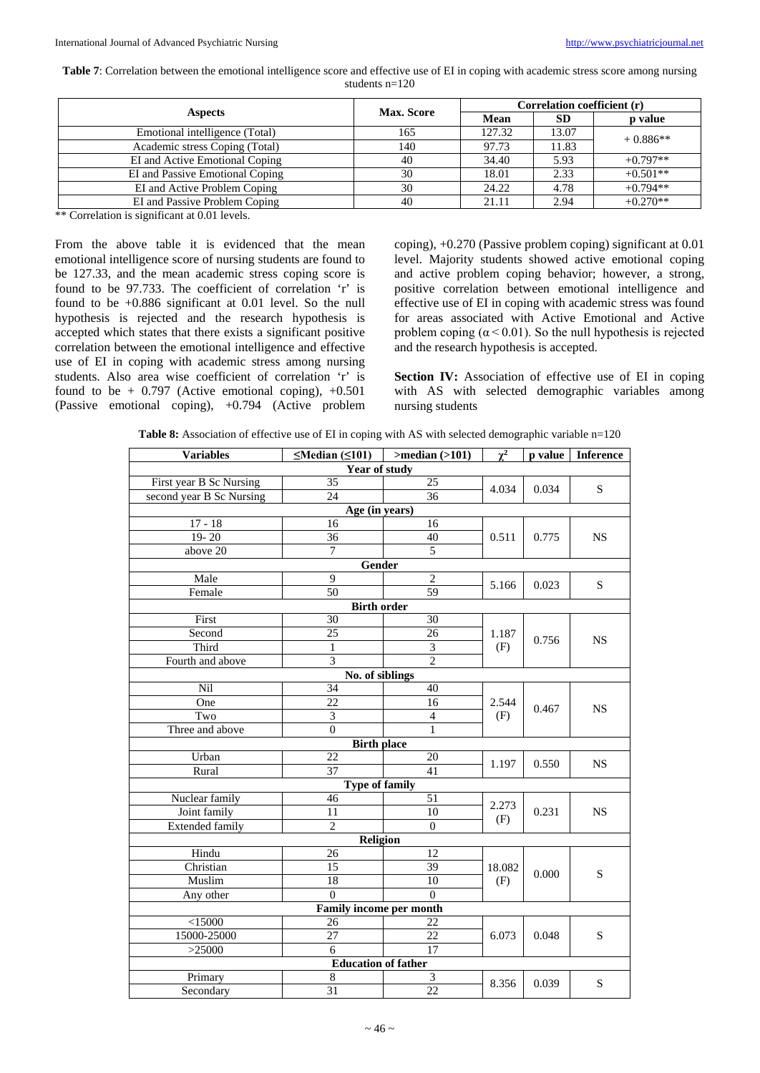**Table 7**: Correlation between the emotional intelligence score and effective use of EI in coping with academic stress score among nursing students n=120

|                                 |                   | Correlation coefficient (r) |           |            |  |
|---------------------------------|-------------------|-----------------------------|-----------|------------|--|
| <b>Aspects</b>                  | <b>Max. Score</b> | Mean                        | <b>SD</b> | p value    |  |
| Emotional intelligence (Total)  | 165               | 127.32                      | 13.07     | $+0.886**$ |  |
| Academic stress Coping (Total)  | 140               | 97.73                       | 11.83     |            |  |
| EI and Active Emotional Coping  | 40                | 34.40                       | 5.93      | $+0.797**$ |  |
| EI and Passive Emotional Coping | 30                | 18.01                       | 2.33      | $+0.501**$ |  |
| EI and Active Problem Coping    | 30                | 24.22                       | 4.78      | $+0.794**$ |  |
| EI and Passive Problem Coping   | 40                | 21.11                       | 2.94      | $+0.270**$ |  |

\*\* Correlation is significant at 0.01 levels.

From the above table it is evidenced that the mean emotional intelligence score of nursing students are found to be 127.33, and the mean academic stress coping score is found to be 97.733. The coefficient of correlation 'r' is found to be +0.886 significant at 0.01 level. So the null hypothesis is rejected and the research hypothesis is accepted which states that there exists a significant positive correlation between the emotional intelligence and effective use of EI in coping with academic stress among nursing students. Also area wise coefficient of correlation 'r' is found to be  $+$  0.797 (Active emotional coping),  $+0.501$ (Passive emotional coping), +0.794 (Active problem coping), +0.270 (Passive problem coping) significant at 0.01 level. Majority students showed active emotional coping and active problem coping behavior; however, a strong, positive correlation between emotional intelligence and effective use of EI in coping with academic stress was found for areas associated with Active Emotional and Active problem coping  $(\alpha \le 0.01)$ . So the null hypothesis is rejected and the research hypothesis is accepted.

**Section IV:** Association of effective use of EI in coping with AS with selected demographic variables among nursing students

| Table 8: Association of effective use of EI in coping with AS with selected demographic variable n=120 |  |  |  |
|--------------------------------------------------------------------------------------------------------|--|--|--|
|--------------------------------------------------------------------------------------------------------|--|--|--|

| Year of study<br>First year B Sc Nursing<br>35<br>25<br>4.034<br>0.034<br>S<br>second year B Sc Nursing<br>36<br>24<br>Age (in years)<br>$17 - 18$<br>16<br>16<br>$19 - 20$<br>36<br>40<br>0.511<br>0.775<br><b>NS</b><br>5<br>above 20<br>$\tau$<br><b>Gender</b><br>Male<br>$\overline{2}$<br>9 |
|---------------------------------------------------------------------------------------------------------------------------------------------------------------------------------------------------------------------------------------------------------------------------------------------------|
|                                                                                                                                                                                                                                                                                                   |
|                                                                                                                                                                                                                                                                                                   |
|                                                                                                                                                                                                                                                                                                   |
|                                                                                                                                                                                                                                                                                                   |
|                                                                                                                                                                                                                                                                                                   |
|                                                                                                                                                                                                                                                                                                   |
|                                                                                                                                                                                                                                                                                                   |
|                                                                                                                                                                                                                                                                                                   |
| ${\bf S}$<br>5.166<br>0.023                                                                                                                                                                                                                                                                       |
| $\overline{59}$<br>Female<br>50                                                                                                                                                                                                                                                                   |
| <b>Birth order</b>                                                                                                                                                                                                                                                                                |
| First<br>30<br>30                                                                                                                                                                                                                                                                                 |
| Second<br>25<br>26<br>1.187<br>0.756<br><b>NS</b>                                                                                                                                                                                                                                                 |
| Third<br>3<br>$\mathbf{1}$<br>(F)                                                                                                                                                                                                                                                                 |
| $\overline{2}$<br>$\overline{3}$<br>Fourth and above                                                                                                                                                                                                                                              |
| No. of siblings                                                                                                                                                                                                                                                                                   |
| Nil<br>34<br>40                                                                                                                                                                                                                                                                                   |
| 22<br>One<br>16<br>2.544                                                                                                                                                                                                                                                                          |
| 0.467<br><b>NS</b><br>Two<br>3<br>$\overline{4}$<br>(F)                                                                                                                                                                                                                                           |
| Three and above<br>$\overline{0}$<br>$\mathbf{1}$                                                                                                                                                                                                                                                 |
| <b>Birth place</b>                                                                                                                                                                                                                                                                                |
| Urban<br>22<br>20                                                                                                                                                                                                                                                                                 |
| 1.197<br>NS<br>0.550<br>Rural<br>37<br>41                                                                                                                                                                                                                                                         |
| <b>Type of family</b>                                                                                                                                                                                                                                                                             |
| Nuclear family<br>46<br>51                                                                                                                                                                                                                                                                        |
| 2.273<br>Joint family<br>0.231<br><b>NS</b><br>11<br>10                                                                                                                                                                                                                                           |
| (F)<br><b>Extended family</b><br>$\overline{c}$<br>$\overline{0}$                                                                                                                                                                                                                                 |
| Religion                                                                                                                                                                                                                                                                                          |
| Hindu<br>26<br>12                                                                                                                                                                                                                                                                                 |
| $\overline{\text{Christian}}$<br>39<br>15<br>18.082<br>0.000<br>S                                                                                                                                                                                                                                 |
| 18<br>Muslim<br>10<br>(F)                                                                                                                                                                                                                                                                         |
| $\theta$<br>Any other<br>$\Omega$                                                                                                                                                                                                                                                                 |
| Family income per month                                                                                                                                                                                                                                                                           |
| <15000<br>22<br>26                                                                                                                                                                                                                                                                                |
| 15000-25000<br>27<br>22<br>S<br>6.073<br>0.048                                                                                                                                                                                                                                                    |
| >25000<br>6<br>17                                                                                                                                                                                                                                                                                 |
| <b>Education of father</b>                                                                                                                                                                                                                                                                        |
| $\overline{3}$<br>$\overline{8}$<br>Primary<br>0.039<br>S<br>8.356                                                                                                                                                                                                                                |
| Secondary<br>22<br>31                                                                                                                                                                                                                                                                             |

 $~\sim$  46  $~\sim$